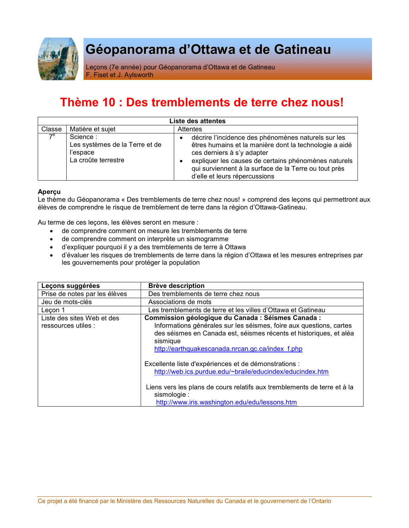

# Géopanorama d'Ottawa et de Gatineau

Leçons (7e année) pour Géopanorama d'Ottawa et de Gatineau F. Fiset et J. Aylsworth

## Thème 10 : Des tremblements de terre chez nous!

| Liste des attentes |                                                                               |                                                                                                                                                                                                                                                                                                            |  |  |
|--------------------|-------------------------------------------------------------------------------|------------------------------------------------------------------------------------------------------------------------------------------------------------------------------------------------------------------------------------------------------------------------------------------------------------|--|--|
| Classe             | Matière et sujet                                                              | <b>Attentes</b>                                                                                                                                                                                                                                                                                            |  |  |
| $7^e$              | Science:<br>Les systèmes de la Terre et de<br>l'espace<br>La croûte terrestre | décrire l'incidence des phénomènes naturels sur les<br>$\bullet$<br>êtres humains et la manière dont la technologie a aidé<br>ces derniers à s'y adapter<br>expliquer les causes de certains phénomènes naturels<br>qui surviennent à la surface de la Terre ou tout près<br>d'elle et leurs répercussions |  |  |

### **Apercu**

Le thème du Géopanorama « Des tremblements de terre chez nous! » comprend des leçons qui permettront aux élèves de comprendre le risque de tremblement de terre dans la région d'Ottawa-Gatineau.

Au terme de ces leçons, les élèves seront en mesure :

- de comprendre comment on mesure les tremblements de terre
- de comprendre comment on interprète un sismogramme
- · d'expliquer pourquoi il y a des tremblements de terre à Ottawa
- · d'évaluer les risques de tremblements de terre dans la région d'Ottawa et les mesures entreprises par les gouvernements pour protéger la population

| Leçons suggérées                                  | <b>Brève description</b>                                                                                                                                                                                                                                         |
|---------------------------------------------------|------------------------------------------------------------------------------------------------------------------------------------------------------------------------------------------------------------------------------------------------------------------|
| Prise de notes par les élèves                     | Des tremblements de terre chez nous                                                                                                                                                                                                                              |
| Jeu de mots-clés                                  | Associations de mots                                                                                                                                                                                                                                             |
| Leçon 1                                           | Les tremblements de terre et les villes d'Ottawa et Gatineau                                                                                                                                                                                                     |
| Liste des sites Web et des<br>ressources utiles : | Commission géologique du Canada : Séismes Canada :<br>Informations générales sur les séismes, foire aux questions, cartes<br>des séismes en Canada est, séismes récents et historiques, et aléa<br>sismique<br>http://earthquakescanada.nrcan.gc.ca/index f.php  |
|                                                   | Excellente liste d'expériences et de démonstrations :<br>http://web.ics.purdue.edu/~braile/educindex/educindex.htm<br>Liens vers les plans de cours relatifs aux tremblements de terre et à la<br>sismologie :<br>http://www.iris.washington.edu/edu/lessons.htm |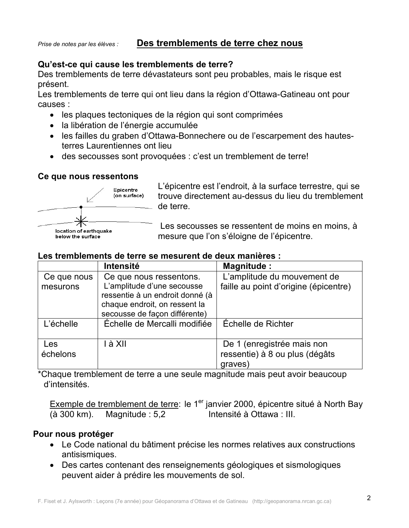## Qu'est-ce qui cause les tremblements de terre?

Des tremblements de terre dévastateurs sont peu probables, mais le risque est présent.

Les tremblements de terre qui ont lieu dans la région d'Ottawa-Gatineau ont pour causes:

- les plaques tectoniques de la région qui sont comprimées
- · la libération de l'énergie accumulée
- les failles du graben d'Ottawa-Bonnechere ou de l'escarpement des hautesterres Laurentiennes ont lieu
- des secousses sont provoquées : c'est un tremblement de terre!

### Ce que nous ressentons



L'épicentre est l'endroit, à la surface terrestre, qui se trouve directement au-dessus du lieu du tremblement de terre.

Les secousses se ressentent de moins en moins, à mesure que l'on s'éloigne de l'épicentre.

## Les tremblements de terre se mesurent de deux manières :

|             | <b>Intensité</b>                                                                                                                | <b>Magnitude:</b>                     |
|-------------|---------------------------------------------------------------------------------------------------------------------------------|---------------------------------------|
| Ce que nous | Ce que nous ressentons.                                                                                                         | L'amplitude du mouvement de           |
| mesurons    | L'amplitude d'une secousse<br>ressentie à un endroit donné (à<br>chaque endroit, on ressent la<br>secousse de façon différente) | faille au point d'origine (épicentre) |
| L'échelle   | Échelle de Mercalli modifiée                                                                                                    | Échelle de Richter                    |
| Les         | I à XII                                                                                                                         | De 1 (enregistrée mais non            |
| échelons    |                                                                                                                                 | ressentie) à 8 ou plus (dégâts        |
|             |                                                                                                                                 | graves)                               |

\*Chaque tremblement de terre a une seule magnitude mais peut avoir beaucoup d'intensités

Exemple de tremblement de terre: le 1<sup>er</sup> janvier 2000, épicentre situé à North Bay Magnitude: 5,2 Intensité à Ottawa : III. (à 300 km).

## Pour nous protéger

- Le Code national du bâtiment précise les normes relatives aux constructions antisismiques.
- Des cartes contenant des renseignements géologiques et sismologiques peuvent aider à prédire les mouvements de sol.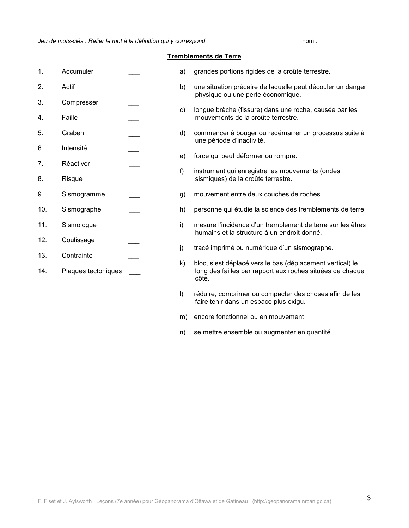nom:

#### **Tremblements de Terre**

- $1.$ Accumuler
- $\mathcal{P}$ Actif
- $3.$ Compresser
- 4. Faille
- 5 Graben
- 6. Intensité
- $\overline{7}$ . Réactiver
- 8 **Risque**
- 9. Sismogramme
- $10.$ Sismographe
- $11.$ Sismoloque
- $12<sub>1</sub>$ Coulissage
- $13.$ Contrainte
- 
- $14.$ Plaques tectoniques
- grandes portions rigides de la croûte terrestre. a)
- une situation précaire de laquelle peut découler un danger  $b)$ physique ou une perte économique.
- longue brèche (fissure) dans une roche, causée par les  $c)$ mouvements de la croûte terrestre.
- commencer à bouger ou redémarrer un processus suite à d) une période d'inactivité.
- force qui peut déformer ou rompre.  $e)$
- instrument qui enregistre les mouvements (ondes  $f)$ sismiques) de la croûte terrestre.
- mouvement entre deux couches de roches. g)
- h) personne qui étudie la science des tremblements de terre
- mesure l'incidence d'un tremblement de terre sur les êtres i) humains et la structure à un endroit donné.
- tracé imprimé ou numérique d'un sismographe. i)
- $k)$ bloc, s'est déplacé vers le bas (déplacement vertical) le long des failles par rapport aux roches situées de chaque côté.
- $\mathsf{I}$ réduire, comprimer ou compacter des choses afin de les faire tenir dans un espace plus exigu.
- m) encore fonctionnel ou en mouvement
- se mettre ensemble ou augmenter en quantité n)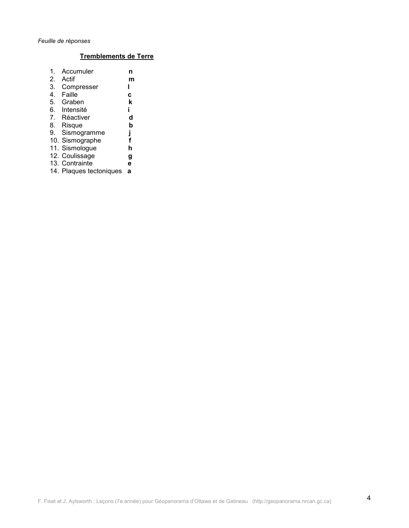### Tremblements de Terre

| 1.             | Accumuler               | n |
|----------------|-------------------------|---|
| 2.             | Actif                   | m |
| 3.             | Compresser              |   |
| 4.             | Faille                  | C |
| 5.             | Graben                  | k |
| 6.             | Intensité               | i |
| 7 <sub>1</sub> | Réactiver               | d |
| 8.             | Risque                  | b |
| 9.             | Sismogramme             | j |
|                | 10. Sismographe         | f |
|                | 11. Sismologue          | h |
|                | 12. Coulissage          | g |
|                | 13. Contrainte          | e |
|                | 14. Plaques tectoniques | а |
|                |                         |   |
|                |                         |   |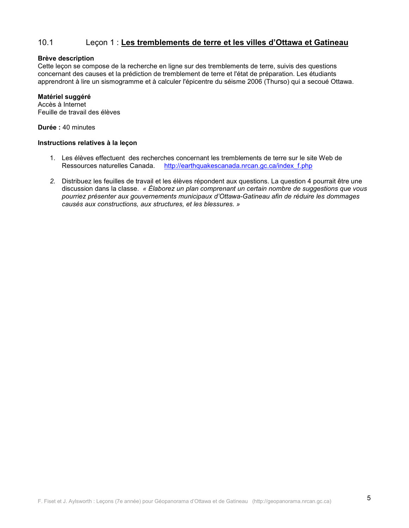#### $10.1$ Leçon 1 : Les tremblements de terre et les villes d'Ottawa et Gatineau

#### **Brève description**

Cette leçon se compose de la recherche en ligne sur des tremblements de terre, suivis des questions concernant des causes et la prédiction de tremblement de terre et l'état de préparation. Les étudiants apprendront à lire un sismogramme et à calculer l'épicentre du séisme 2006 (Thurso) qui a secoué Ottawa.

#### Matériel suggéré

Accès à Internet Feuille de travail des élèves

Durée : 40 minutes

### Instructions relatives à la leçon

- 1. Les élèves effectuent des recherches concernant les tremblements de terre sur le site Web de Ressources naturelles Canada. http://earthquakescanada.nrcan.qc.ca/index f.php
- 2. Distribuez les feuilles de travail et les élèves répondent aux questions. La question 4 pourrait être une discussion dans la classe. « Élaborez un plan comprenant un certain nombre de suggestions que vous pourriez présenter aux gouvernements municipaux d'Ottawa-Gatineau afin de réduire les dommages causés aux constructions, aux structures, et les blessures. »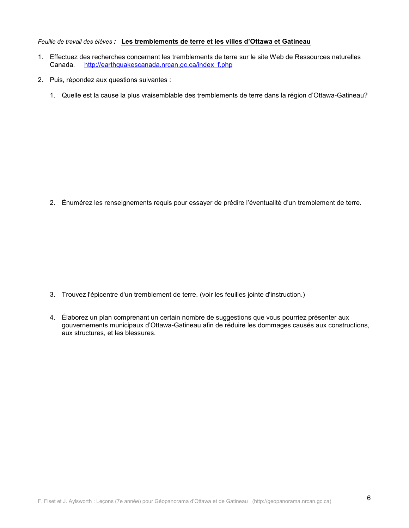#### Feuille de travail des élèves : Les tremblements de terre et les villes d'Ottawa et Gatineau

- 1. Effectuez des recherches concernant les tremblements de terre sur le site Web de Ressources naturelles Canada. http://earthquakescanada.nrcan.gc.ca/index f.php
- 2. Puis, répondez aux questions suivantes :
	- 1. Quelle est la cause la plus vraisemblable des tremblements de terre dans la région d'Ottawa-Gatineau?

2. Énumérez les renseignements requis pour essayer de prédire l'éventualité d'un tremblement de terre.

- 3. Trouvez l'épicentre d'un tremblement de terre. (voir les feuilles jointe d'instruction.)
- 4. Élaborez un plan comprenant un certain nombre de suggestions que vous pourriez présenter aux gouvernements municipaux d'Ottawa-Gatineau afin de réduire les dommages causés aux constructions, aux structures, et les blessures.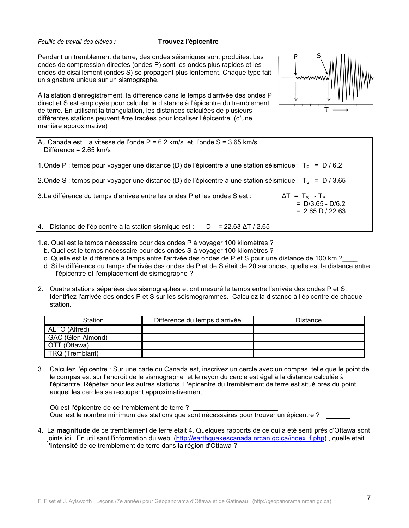Feuille de travail des élèves :

#### **Trouvez l'épicentre**

Pendant un tremblement de terre, des ondes séismiques sont produites. Les ondes de compression directes (ondes P) sont les ondes plus rapides et les ondes de cisaillement (ondes S) se propagent plus lentement. Chaque type fait un signature unique sur un sismographe.

À la station d'enregistrement, la différence dans le temps d'arrivée des ondes P direct et S est employée pour calculer la distance à l'épicentre du tremblement de terre. En utilisant la triangulation, les distances calculées de plusieurs différentes stations peuvent être tracées pour localiser l'épicentre. (d'une manière approximative)



| Au Canada est, la vitesse de l'onde $P = 6.2$ km/s et l'onde $S = 3.65$ km/s<br>Différence = $2.65$ km/s                                         |  |
|--------------------------------------------------------------------------------------------------------------------------------------------------|--|
| 1. Onde P : temps pour voyager une distance (D) de l'épicentre à une station séismique : T <sub>P</sub> = D / 6.2                                |  |
| 2. Onde S : temps pour voyager une distance (D) de l'épicentre à une station séismique : $T_S = D / 3.65$                                        |  |
| 3. La différence du temps d'arrivée entre les ondes P et les ondes S est :<br>$\Delta T = T_s - T_P$<br>$= D/3.65 - D/6.2$<br>$= 2.65 D / 22.63$ |  |
| Distance de l'épicentre à la station sismique est :<br>$D = 22.63 \Delta T / 2.65$<br>14.                                                        |  |

- 1.a. Quel est le temps nécessaire pour des ondes P à voyager 100 kilomètres ?
- b. Quel est le temps nécessaire pour des ondes S à voyager 100 kilomètres ?
- c. Quelle est la différence à temps entre l'arrivée des ondes de P et S pour une distance de 100 km ?
- d. Si la différence du temps d'arrivée des ondes de P et de S était de 20 secondes, quelle est la distance entre l'épicentre et l'emplacement de sismographe ?
- 2. Quatre stations séparées des sismographes et ont mesuré le temps entre l'arrivée des ondes P et S. Identifiez l'arrivée des ondes P et S sur les séismogrammes. Calculez la distance à l'épicentre de chaque station.

| Station           | Différence du temps d'arrivée | <b>Distance</b> |
|-------------------|-------------------------------|-----------------|
| ALFO (Alfred)     |                               |                 |
| GAC (Glen Almond) |                               |                 |
| OTT (Ottawa)      |                               |                 |
| TRQ (Tremblant)   |                               |                 |

3. Calculez l'épicentre : Sur une carte du Canada est, inscrivez un cercle avec un compas, telle que le point de le compas est sur l'endroit de le sismographe et le rayon du cercle est égal à la distance calculée à l'épicentre. Répétez pour les autres stations. L'épicentre du tremblement de terre est situé près du point auquel les cercles se recoupent approximativement.

Où est l'épicentre de ce tremblement de terre ? Quel est le nombre minimum des stations que sont nécessaires pour trouver un épicentre ?

4. La magnitude de ce tremblement de terre était 4. Quelques rapports de ce qui a été senti près d'Ottawa sont joints ici. En utilisant l'information du web (http://earthquakescanada.nrcan.gc.ca/index f.php), quelle était l'intensité de ce tremblement de terre dans la région d'Ottawa ?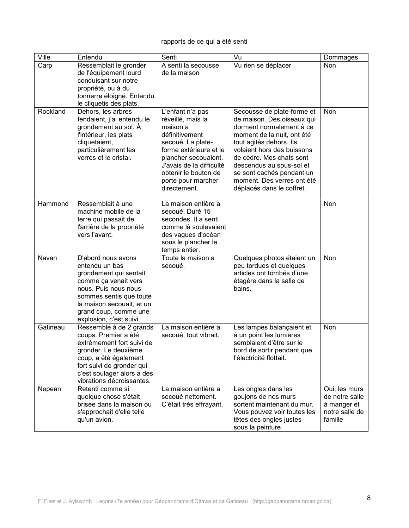### rapports de ce qui a été senti

| Ville    | Entendu                                                                                                                                                                                                                    | Senti                                                                                                                                                                                                                                | Vu                                                                                                                                                                                                                                                                                                                          | Dommages                                                                    |
|----------|----------------------------------------------------------------------------------------------------------------------------------------------------------------------------------------------------------------------------|--------------------------------------------------------------------------------------------------------------------------------------------------------------------------------------------------------------------------------------|-----------------------------------------------------------------------------------------------------------------------------------------------------------------------------------------------------------------------------------------------------------------------------------------------------------------------------|-----------------------------------------------------------------------------|
| Carp     | Ressemblait le gronder<br>de l'équipement lourd<br>conduisant sur notre<br>propriété, ou à du<br>tonnerre éloigné. Entendu<br>le cliquetis des plats.                                                                      | A senti la secousse<br>de la maison                                                                                                                                                                                                  | Vu rien se déplacer                                                                                                                                                                                                                                                                                                         | Non                                                                         |
| Rockland | Dehors, les arbres<br>fendaient, j'ai entendu le<br>grondement au sol. À<br>l'intérieur, les plats<br>cliquetaient,<br>particulièrement les<br>verres et le cristal.                                                       | L'enfant n'a pas<br>réveillé, mais la<br>maison a<br>définitivement<br>secoué. La plate-<br>forme extérieure et le<br>plancher secouaient.<br>J'avais de la difficulté<br>obtenir le bouton de<br>porte pour marcher<br>directement. | Secousse de plate-forme et<br>de maison. Des oiseaux qui<br>dorment normalement à ce<br>moment de la nuit, ont été<br>tout agités dehors. Ils<br>volaient hors des buissons<br>de cèdre. Mes chats sont<br>descendus au sous-sol et<br>se sont cachés pendant un<br>moment. Des verres ont été<br>déplacés dans le coffret. | Non                                                                         |
| Hammond  | Ressemblait à une<br>machine mobile de la<br>terre qui passait de<br>l'arrière de la propriété<br>vers l'avant.                                                                                                            | La maison entière a<br>secoué. Duré 15<br>secondes. Il a senti<br>comme là soulevaient<br>des vagues d'océan<br>sous le plancher le<br>temps entier.                                                                                 |                                                                                                                                                                                                                                                                                                                             | Non                                                                         |
| Navan    | D'abord nous avons<br>entendu un bas<br>grondement qui sentait<br>comme ça venait vers<br>nous. Puis nous nous<br>sommes sentis que toute<br>la maison secouait, et un<br>grand coup, comme une<br>explosion, c'est suivi. | Toute la maison a<br>secoué.                                                                                                                                                                                                         | Quelques photos étaient un<br>peu tordues et quelques<br>articles ont tombés d'une<br>étagère dans la salle de<br>bains.                                                                                                                                                                                                    | Non                                                                         |
| Gatineau | Ressemblé à de 2 grands<br>coups. Premier a été<br>extrêmement fort suivi de<br>gronder. Le deuxième<br>coup, a été également<br>fort suivi de gronder qui<br>c'est soulager alors a des<br>vibrations décroissantes.      | La maison entière a<br>secoué, tout vibrait.                                                                                                                                                                                         | Les lampes balançaient et<br>à un point les lumières<br>semblaient d'être sur le<br>bord de sortir pendant que<br>l'électricité flottait.                                                                                                                                                                                   | Non                                                                         |
| Nepean   | Retenti comme si<br>quelque chose s'était<br>brisée dans la maison ou<br>s'approchait d'elle telle<br>qu'un avion.                                                                                                         | La maison entière a<br>secoué nettement.<br>C'était très effrayant.                                                                                                                                                                  | Les ongles dans les<br>goujons de nos murs<br>sortent maintenant du mur.<br>Vous pouvez voir toutes les<br>têtes des ongles justes<br>sous la peinture.                                                                                                                                                                     | Oui, les murs<br>de notre salle<br>à manger et<br>notre salle de<br>famille |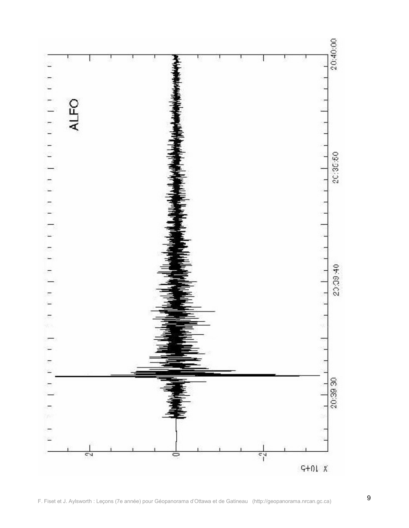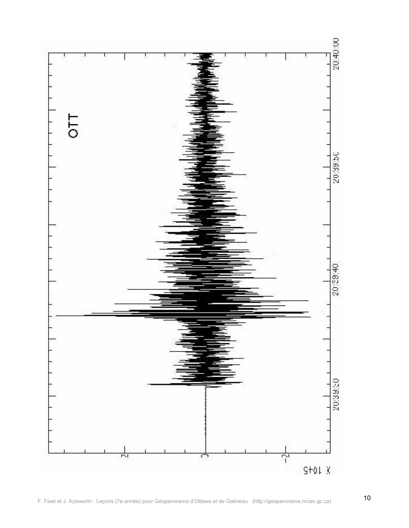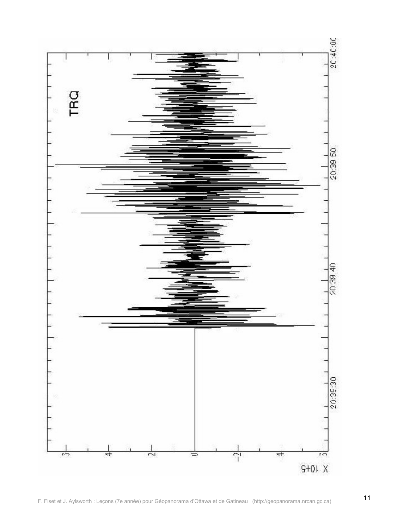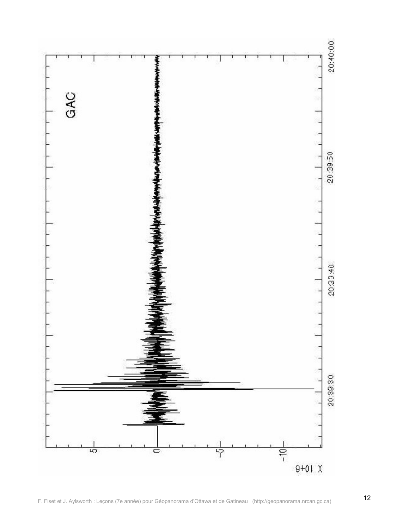